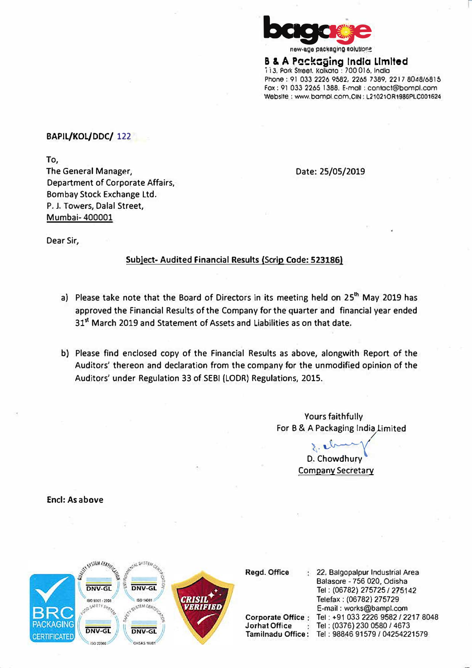

new-age packaging solutions

**B & A Packaging India Limited** 113, Pork Street, Kolkota : 700 016, India Phone : 91 033 2226 9582, 2265 *7* 389, 221 *7* 8048/68 I 5 Fox: 91 033 2265 1388, E-moll : contoct@bompl.com Website: www.bompl.com,CIN: L210210R1986PLC001624

**BAPIL/KOL/DDC/ 122**

**To,** 

**The General Manager, Department of Corporate Affairs, Bombay Stock Exchange Ltd. P. J. Towers, Dalal Street, Mumbai- 400001** 

**Date: 25/05/2019** 

**Dear Sir,** 

# **Subject- Audited Financial Results {Scrip Code: 5231861**

- **a) Please take note that the Board of Directors In its meeting held on 25th May 2019 has approved the Financial Results of the Company for the quarter and financial year ended 31**st **March 2019 and Statement of Assets and Liabilities as on that date.**
- **b) Please find enclosed copy of the Financial Results as above, alongwith Report of the Auditors' thereon and declaration from the company for the unmodified opinion of the Auditors' under Regulation 33 of SEBI (LODR) Regulations, 2015.**

**Yours faithfully For B & A Pac� aging lnd�imited**

> \- '--� **D. Chowdhury Company Secretary**

**Encl:** As **above** 



**Regd.Offlce** 

**Jorhal Office** 

**Corporate Office**  Tel : +91 033 2226 9582 / 2217 8048 Tamilnadu **Office: Tel:** 98846 91579/0425422157922, Balgopalpur Industrial Area Balasore - 756 020, Odisha Tel: (06782) 275725 / 275142 Telefax : (06782) 275729 E-mail: works@bampl.com Tel : (0376) 230 0580 / 4673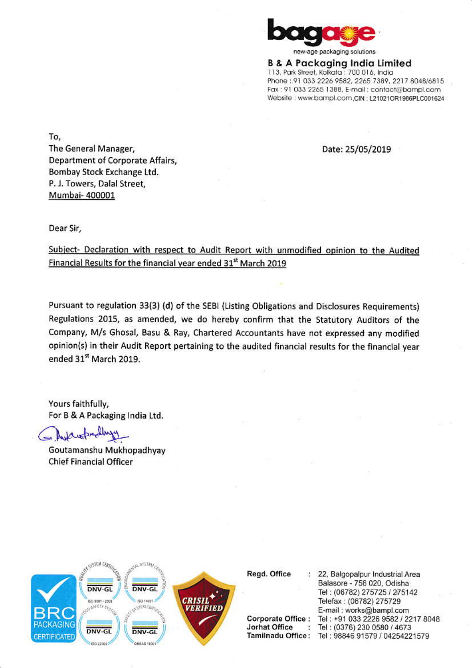

new-age packaging solutions

**B & A Packaging India Limited** 113, Park Street, Kolkata : 700 016, India Phone: 91 033 2226 9582, 2265 7389, 2217 8048/6815 Fax: 91 033 2265 1388, E-mail: contact@bampl.com Website: www.bampl.com.CIN: L21021OR1986PLC001624

Date: 25/05/2019

To, The General Manager, Department of Corporate Affairs, Bombay Stock Exchange Ltd. P. J. Towers, Dalal Street, Mumbai- 400001

Dear Sir,

Subject- Declaration with respect to Audit Report with unmodified opinion to the Audited Financial Results for the financial year ended 31<sup>st</sup> March 2019

Pursuant to regulation 33(3) (d) of the SEBI (Listing Obligations and Disclosures Requirements) Regulations 2015, as amended, we do hereby confirm that the Statutory Auditors of the Company, M/s Ghosal, Basu & Ray, Chartered Accountants have not expressed any modified opinion(s) in their Audit Report pertaining to the audited financial results for the financial year ended 31st March 2019.

Yours faithfully, For B & A Packaging India Ltd.

auspreding

Goutamanshu Mukhopadhyay **Chief Financial Officer** 



Regd. Office

**Corporate Office:** Jorhat Office  $\ddot{\phantom{1}}$ 

22, Balgopalpur Industrial Area Balasore - 756 020, Odisha Tel: (06782) 275725 / 275142 Telefax: (06782) 275729 E-mail: works@bampl.com Tel: +91 033 2226 9582 / 2217 8048 Tel: (0376) 230 0580 / 4673 Tamilnadu Office: Tel: 98846 91579 / 04254221579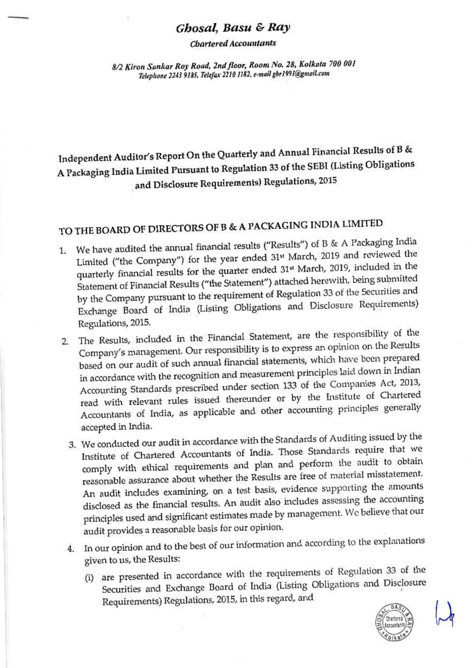# Ghosal, Basu & Ray

**Chartered Accountants** 

8/2 Kiron Sankar Roy Road, 2nd floor, Room No. 28, Kolkata 700 001 Telephone 2243 9185, Telefax 2210 1182, e-mail gbr1991@gmail.com

Independent Auditor's Report On the Quarterly and Annual Financial Results of B & A Packaging India Limited Pursuant to Regulation 33 of the SEBI (Listing Obligations and Disclosure Requirements) Regulations, 2015

# TO THE BOARD OF DIRECTORS OF B & A PACKAGING INDIA LIMITED

- 1. We have audited the annual financial results ("Results") of B & A Packaging India Limited ("the Company") for the year ended 31st March, 2019 and reviewed the quarterly financial results for the quarter ended 31st March, 2019, included in the Statement of Financial Results ("the Statement") attached herewith, being submitted by the Company pursuant to the requirement of Regulation 33 of the Securities and Exchange Board of India (Listing Obligations and Disclosure Requirements) Regulations, 2015.
- 2. The Results, included in the Financial Statement, are the responsibility of the Company's management. Our responsibility is to express an opinion on the Results based on our audit of such annual financial statements, which have been prepared in accordance with the recognition and measurement principles laid down in Indian Accounting Standards prescribed under section 133 of the Companies Act, 2013, read with relevant rules issued thereunder or by the Institute of Chartered Accountants of India, as applicable and other accounting principles generally accepted in India.
	- 3. We conducted our audit in accordance with the Standards of Auditing issued by the Institute of Chartered Accountants of India. Those Standards require that we comply with ethical requirements and plan and perform the audit to obtain reasonable assurance about whether the Results are free of material misstatement. An audit includes examining, on a test basis, evidence supporting the amounts disclosed as the financial results. An audit also includes assessing the accounting principles used and significant estimates made by management. We believe that our audit provides a reasonable basis for our opinion.
	- 4. In our opinion and to the best of our information and according to the explanations given to us, the Results:
		- (i) are presented in accordance with the requirements of Regulation 33 of the Securities and Exchange Board of India (Listing Obligations and Disclosure Requirements) Regulations, 2015, in this regard, and

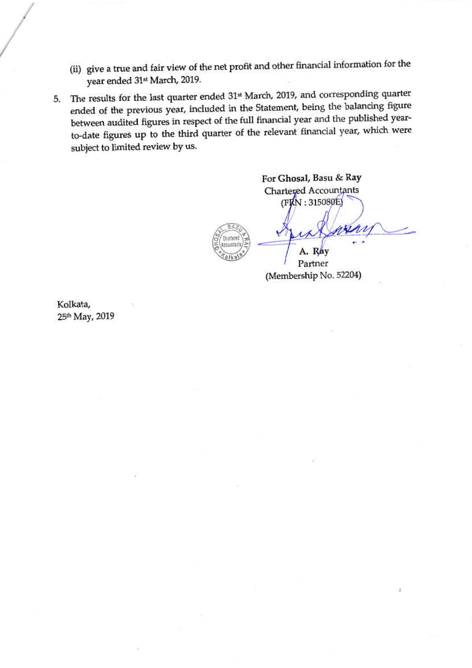- (ii) give a true and fair view of the net profit and other financial information for the year ended 31<sup>st</sup> March, 2019.
- The results for the last quarter ended 31st March, 2019, and corresponding quarter 5. ended of the previous year, included in the Statement, being the balancing figure between audited figures in respect of the full financial year and the published yearto-date figures up to the third quarter of the relevant financial year, which were subject to limited review by us.

For Ghosal, Basu & Ray **Chartered Accountants** (FIXN: 315080E)



Partner (Membership No. 52204)

Kolkata, 25th May, 2019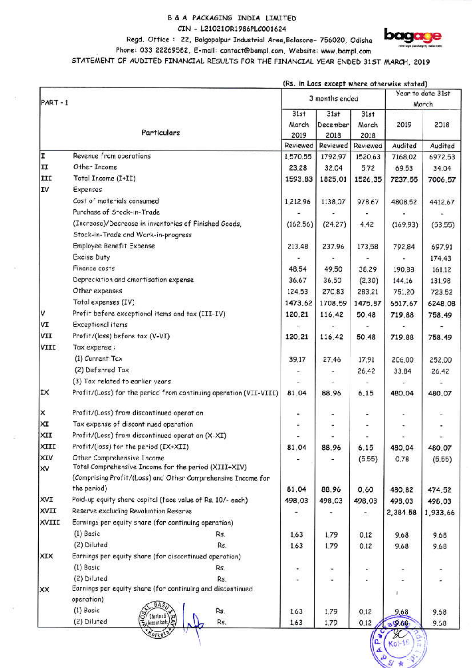### B & A PACKAGING INDIA LIMITED CIN - L21021OR1986PLC001624

Regd. Office: 22, Balgopalpur Industrial Area, Balasore- 756020, Odisha



 $88*3$ 

Phone: 033 22269582, E-mail: contact@bampl.com, Website: www.bampl.com

STATEMENT OF AUDITED FINANCIAL RESULTS FOR THE FINANCIAL YEAR ENDED 31ST MARCH, 2019

| Particulars<br>Revenue from operations<br>Other Income<br>Total Income (I+II)<br>Expenses<br>Cost of materials consumed<br>Purchase of Stock-in-Trade<br>(Increase)/Decrease in inventories of Finished Goods,<br>Stock-in-Trade and Work-in-progress<br>Employee Benefit Expense<br><b>Excise Duty</b><br>Finance costs<br>Depreciation and amortisation expense<br>Other expenses<br>Total expenses (IV)<br>Profit before exceptional items and tax (III-IV)<br><b>Exceptional items</b> | 31st<br>March<br>2019<br>Reviewed<br>1,570.55<br>23.28<br>1593.83<br>1,212.96<br>(162.56)<br>213.48<br>48.54<br>36.67<br>124.53<br>1473.62<br>120,21                                                                                                                                                                                                                                                                                                                                                                     | 3 months ended<br>31st<br>December<br>2018<br>Reviewed<br>1792.97<br>32,04<br>1825.01<br>1138.07<br>(24.27)<br>237.96<br>49.50<br>36.50<br>270.83<br>1708.59<br>116.42                                 | 31st<br>March<br>2018<br>Reviewed<br>1520.63<br>5.72<br>1526.35<br>978.67<br>4.42<br>173.58<br>38.29<br>(2.30)<br>283.21<br>1475.87 | 2019<br>Audited<br>7168.02<br>69.53<br>7237.55<br>4808.52<br>(169.93)<br>792.84<br>190.88<br>144.16<br>751.20<br>6517.67 | Year to date 31st<br>March<br>2018<br>Audited<br>6972.53<br>34.04<br>7006.57<br>4412.67<br>(53.55)<br>697.91<br>174.43<br>161.12<br>131.98<br>723.52<br>6248.08 |
|--------------------------------------------------------------------------------------------------------------------------------------------------------------------------------------------------------------------------------------------------------------------------------------------------------------------------------------------------------------------------------------------------------------------------------------------------------------------------------------------|--------------------------------------------------------------------------------------------------------------------------------------------------------------------------------------------------------------------------------------------------------------------------------------------------------------------------------------------------------------------------------------------------------------------------------------------------------------------------------------------------------------------------|--------------------------------------------------------------------------------------------------------------------------------------------------------------------------------------------------------|-------------------------------------------------------------------------------------------------------------------------------------|--------------------------------------------------------------------------------------------------------------------------|-----------------------------------------------------------------------------------------------------------------------------------------------------------------|
|                                                                                                                                                                                                                                                                                                                                                                                                                                                                                            |                                                                                                                                                                                                                                                                                                                                                                                                                                                                                                                          |                                                                                                                                                                                                        |                                                                                                                                     |                                                                                                                          |                                                                                                                                                                 |
|                                                                                                                                                                                                                                                                                                                                                                                                                                                                                            |                                                                                                                                                                                                                                                                                                                                                                                                                                                                                                                          |                                                                                                                                                                                                        |                                                                                                                                     |                                                                                                                          |                                                                                                                                                                 |
|                                                                                                                                                                                                                                                                                                                                                                                                                                                                                            |                                                                                                                                                                                                                                                                                                                                                                                                                                                                                                                          |                                                                                                                                                                                                        |                                                                                                                                     |                                                                                                                          |                                                                                                                                                                 |
|                                                                                                                                                                                                                                                                                                                                                                                                                                                                                            |                                                                                                                                                                                                                                                                                                                                                                                                                                                                                                                          |                                                                                                                                                                                                        |                                                                                                                                     |                                                                                                                          |                                                                                                                                                                 |
|                                                                                                                                                                                                                                                                                                                                                                                                                                                                                            |                                                                                                                                                                                                                                                                                                                                                                                                                                                                                                                          |                                                                                                                                                                                                        |                                                                                                                                     |                                                                                                                          |                                                                                                                                                                 |
|                                                                                                                                                                                                                                                                                                                                                                                                                                                                                            |                                                                                                                                                                                                                                                                                                                                                                                                                                                                                                                          |                                                                                                                                                                                                        |                                                                                                                                     |                                                                                                                          |                                                                                                                                                                 |
|                                                                                                                                                                                                                                                                                                                                                                                                                                                                                            |                                                                                                                                                                                                                                                                                                                                                                                                                                                                                                                          |                                                                                                                                                                                                        |                                                                                                                                     |                                                                                                                          |                                                                                                                                                                 |
|                                                                                                                                                                                                                                                                                                                                                                                                                                                                                            |                                                                                                                                                                                                                                                                                                                                                                                                                                                                                                                          |                                                                                                                                                                                                        |                                                                                                                                     |                                                                                                                          |                                                                                                                                                                 |
|                                                                                                                                                                                                                                                                                                                                                                                                                                                                                            |                                                                                                                                                                                                                                                                                                                                                                                                                                                                                                                          |                                                                                                                                                                                                        |                                                                                                                                     |                                                                                                                          |                                                                                                                                                                 |
|                                                                                                                                                                                                                                                                                                                                                                                                                                                                                            |                                                                                                                                                                                                                                                                                                                                                                                                                                                                                                                          |                                                                                                                                                                                                        |                                                                                                                                     |                                                                                                                          |                                                                                                                                                                 |
|                                                                                                                                                                                                                                                                                                                                                                                                                                                                                            |                                                                                                                                                                                                                                                                                                                                                                                                                                                                                                                          |                                                                                                                                                                                                        |                                                                                                                                     |                                                                                                                          |                                                                                                                                                                 |
|                                                                                                                                                                                                                                                                                                                                                                                                                                                                                            |                                                                                                                                                                                                                                                                                                                                                                                                                                                                                                                          |                                                                                                                                                                                                        |                                                                                                                                     |                                                                                                                          |                                                                                                                                                                 |
|                                                                                                                                                                                                                                                                                                                                                                                                                                                                                            |                                                                                                                                                                                                                                                                                                                                                                                                                                                                                                                          |                                                                                                                                                                                                        |                                                                                                                                     |                                                                                                                          |                                                                                                                                                                 |
|                                                                                                                                                                                                                                                                                                                                                                                                                                                                                            |                                                                                                                                                                                                                                                                                                                                                                                                                                                                                                                          |                                                                                                                                                                                                        |                                                                                                                                     |                                                                                                                          |                                                                                                                                                                 |
|                                                                                                                                                                                                                                                                                                                                                                                                                                                                                            |                                                                                                                                                                                                                                                                                                                                                                                                                                                                                                                          |                                                                                                                                                                                                        |                                                                                                                                     |                                                                                                                          |                                                                                                                                                                 |
|                                                                                                                                                                                                                                                                                                                                                                                                                                                                                            |                                                                                                                                                                                                                                                                                                                                                                                                                                                                                                                          |                                                                                                                                                                                                        |                                                                                                                                     |                                                                                                                          |                                                                                                                                                                 |
|                                                                                                                                                                                                                                                                                                                                                                                                                                                                                            |                                                                                                                                                                                                                                                                                                                                                                                                                                                                                                                          |                                                                                                                                                                                                        |                                                                                                                                     |                                                                                                                          |                                                                                                                                                                 |
|                                                                                                                                                                                                                                                                                                                                                                                                                                                                                            |                                                                                                                                                                                                                                                                                                                                                                                                                                                                                                                          |                                                                                                                                                                                                        |                                                                                                                                     |                                                                                                                          |                                                                                                                                                                 |
|                                                                                                                                                                                                                                                                                                                                                                                                                                                                                            |                                                                                                                                                                                                                                                                                                                                                                                                                                                                                                                          |                                                                                                                                                                                                        |                                                                                                                                     |                                                                                                                          |                                                                                                                                                                 |
|                                                                                                                                                                                                                                                                                                                                                                                                                                                                                            |                                                                                                                                                                                                                                                                                                                                                                                                                                                                                                                          |                                                                                                                                                                                                        | 50.48                                                                                                                               | 719.88                                                                                                                   | 758.49                                                                                                                                                          |
|                                                                                                                                                                                                                                                                                                                                                                                                                                                                                            |                                                                                                                                                                                                                                                                                                                                                                                                                                                                                                                          |                                                                                                                                                                                                        |                                                                                                                                     |                                                                                                                          |                                                                                                                                                                 |
| Profit/(loss) before tax (V-VI)                                                                                                                                                                                                                                                                                                                                                                                                                                                            | 120.21                                                                                                                                                                                                                                                                                                                                                                                                                                                                                                                   | 116.42                                                                                                                                                                                                 | 50.48                                                                                                                               | 719.88                                                                                                                   | 758.49                                                                                                                                                          |
| Tax expense:                                                                                                                                                                                                                                                                                                                                                                                                                                                                               |                                                                                                                                                                                                                                                                                                                                                                                                                                                                                                                          |                                                                                                                                                                                                        |                                                                                                                                     |                                                                                                                          |                                                                                                                                                                 |
| (1) Current Tax                                                                                                                                                                                                                                                                                                                                                                                                                                                                            | 39,17                                                                                                                                                                                                                                                                                                                                                                                                                                                                                                                    | 27.46                                                                                                                                                                                                  | 17.91                                                                                                                               | 206.00                                                                                                                   | 252.00                                                                                                                                                          |
| (2) Deferred Tax                                                                                                                                                                                                                                                                                                                                                                                                                                                                           |                                                                                                                                                                                                                                                                                                                                                                                                                                                                                                                          |                                                                                                                                                                                                        |                                                                                                                                     |                                                                                                                          | 26.42                                                                                                                                                           |
| (3) Tax related to earlier years                                                                                                                                                                                                                                                                                                                                                                                                                                                           |                                                                                                                                                                                                                                                                                                                                                                                                                                                                                                                          |                                                                                                                                                                                                        |                                                                                                                                     |                                                                                                                          |                                                                                                                                                                 |
|                                                                                                                                                                                                                                                                                                                                                                                                                                                                                            | 81.04                                                                                                                                                                                                                                                                                                                                                                                                                                                                                                                    | 88.96                                                                                                                                                                                                  | 6.15                                                                                                                                | 480,04                                                                                                                   | 480.07                                                                                                                                                          |
| Profit/(Loss) from discontinued operation                                                                                                                                                                                                                                                                                                                                                                                                                                                  |                                                                                                                                                                                                                                                                                                                                                                                                                                                                                                                          |                                                                                                                                                                                                        | ۰                                                                                                                                   |                                                                                                                          |                                                                                                                                                                 |
| Tax expense of discontinued operation                                                                                                                                                                                                                                                                                                                                                                                                                                                      |                                                                                                                                                                                                                                                                                                                                                                                                                                                                                                                          |                                                                                                                                                                                                        |                                                                                                                                     |                                                                                                                          |                                                                                                                                                                 |
| Profit/(Loss) from discontinued operation (X-XI)                                                                                                                                                                                                                                                                                                                                                                                                                                           |                                                                                                                                                                                                                                                                                                                                                                                                                                                                                                                          |                                                                                                                                                                                                        |                                                                                                                                     |                                                                                                                          |                                                                                                                                                                 |
| Profit/(loss) for the period (IX+XII)                                                                                                                                                                                                                                                                                                                                                                                                                                                      |                                                                                                                                                                                                                                                                                                                                                                                                                                                                                                                          |                                                                                                                                                                                                        |                                                                                                                                     |                                                                                                                          | 480.07                                                                                                                                                          |
| Other Comprehensive Income                                                                                                                                                                                                                                                                                                                                                                                                                                                                 |                                                                                                                                                                                                                                                                                                                                                                                                                                                                                                                          |                                                                                                                                                                                                        | (5.55)                                                                                                                              | 0.78                                                                                                                     | (5.55)                                                                                                                                                          |
|                                                                                                                                                                                                                                                                                                                                                                                                                                                                                            |                                                                                                                                                                                                                                                                                                                                                                                                                                                                                                                          |                                                                                                                                                                                                        |                                                                                                                                     |                                                                                                                          |                                                                                                                                                                 |
|                                                                                                                                                                                                                                                                                                                                                                                                                                                                                            |                                                                                                                                                                                                                                                                                                                                                                                                                                                                                                                          |                                                                                                                                                                                                        |                                                                                                                                     |                                                                                                                          | 474.52                                                                                                                                                          |
|                                                                                                                                                                                                                                                                                                                                                                                                                                                                                            |                                                                                                                                                                                                                                                                                                                                                                                                                                                                                                                          |                                                                                                                                                                                                        |                                                                                                                                     |                                                                                                                          | 498.03                                                                                                                                                          |
|                                                                                                                                                                                                                                                                                                                                                                                                                                                                                            |                                                                                                                                                                                                                                                                                                                                                                                                                                                                                                                          |                                                                                                                                                                                                        |                                                                                                                                     |                                                                                                                          | 1,933.66                                                                                                                                                        |
|                                                                                                                                                                                                                                                                                                                                                                                                                                                                                            |                                                                                                                                                                                                                                                                                                                                                                                                                                                                                                                          |                                                                                                                                                                                                        |                                                                                                                                     |                                                                                                                          |                                                                                                                                                                 |
|                                                                                                                                                                                                                                                                                                                                                                                                                                                                                            |                                                                                                                                                                                                                                                                                                                                                                                                                                                                                                                          |                                                                                                                                                                                                        |                                                                                                                                     |                                                                                                                          | 9.68                                                                                                                                                            |
|                                                                                                                                                                                                                                                                                                                                                                                                                                                                                            |                                                                                                                                                                                                                                                                                                                                                                                                                                                                                                                          |                                                                                                                                                                                                        |                                                                                                                                     |                                                                                                                          | 9.68                                                                                                                                                            |
|                                                                                                                                                                                                                                                                                                                                                                                                                                                                                            |                                                                                                                                                                                                                                                                                                                                                                                                                                                                                                                          |                                                                                                                                                                                                        |                                                                                                                                     |                                                                                                                          |                                                                                                                                                                 |
|                                                                                                                                                                                                                                                                                                                                                                                                                                                                                            |                                                                                                                                                                                                                                                                                                                                                                                                                                                                                                                          |                                                                                                                                                                                                        |                                                                                                                                     |                                                                                                                          |                                                                                                                                                                 |
|                                                                                                                                                                                                                                                                                                                                                                                                                                                                                            |                                                                                                                                                                                                                                                                                                                                                                                                                                                                                                                          |                                                                                                                                                                                                        |                                                                                                                                     |                                                                                                                          |                                                                                                                                                                 |
|                                                                                                                                                                                                                                                                                                                                                                                                                                                                                            |                                                                                                                                                                                                                                                                                                                                                                                                                                                                                                                          |                                                                                                                                                                                                        |                                                                                                                                     |                                                                                                                          |                                                                                                                                                                 |
| operation)                                                                                                                                                                                                                                                                                                                                                                                                                                                                                 |                                                                                                                                                                                                                                                                                                                                                                                                                                                                                                                          |                                                                                                                                                                                                        |                                                                                                                                     |                                                                                                                          |                                                                                                                                                                 |
| (1) Basic<br>Rs.                                                                                                                                                                                                                                                                                                                                                                                                                                                                           | 1.63                                                                                                                                                                                                                                                                                                                                                                                                                                                                                                                     |                                                                                                                                                                                                        | 0.12                                                                                                                                |                                                                                                                          | 9.68                                                                                                                                                            |
| (2) Diluted<br>Rs.                                                                                                                                                                                                                                                                                                                                                                                                                                                                         |                                                                                                                                                                                                                                                                                                                                                                                                                                                                                                                          |                                                                                                                                                                                                        |                                                                                                                                     |                                                                                                                          | 9.68                                                                                                                                                            |
|                                                                                                                                                                                                                                                                                                                                                                                                                                                                                            | Total Comprehensive Income for the period (XIII+XIV)<br>the period)<br>Paid-up equity share capital (face value of Rs. 10/- each)<br>Reserve excluding Revaluation Reserve<br>Earnings per equity share (for continuing operation)<br>(1) Basic<br>Rs.<br>(2) Diluted<br>Rs.<br>Earnings per equity share (for discontinued operation)<br>(1) Basic<br>Rs.<br>(2) Diluted<br>Rs.<br>Earnings per equity share (for continuing and discontinued<br><b>Chartered</b><br>S (Chartered ) 3)<br>E (Accountants) 3)<br>$0$ lka | Profit/(Loss) for the period from continuing operation (VII-VIII)<br>81.04<br>(Comprising Profit/(Loss) and Other Comprehensive Income for<br>81.04<br>498.03<br>۰<br>1.63<br>1.63<br>۰.<br>ù.<br>1,63 | 88.96<br>88.96<br>498.03<br>1.79<br>1,79<br>×<br>1.79<br>1.79                                                                       | 26.42<br>6.15<br>0.60<br>498.03<br>æ,<br>0.12<br>0.12<br>÷<br>0.12<br>$\mathbf{a}$                                       | 33.84<br>480.04<br>480.82<br>498.03<br>2,384.58<br>9.68<br>9.68<br>×.<br>9.68<br>89.68                                                                          |

(Rs. in Lacs excent where otherwise stated)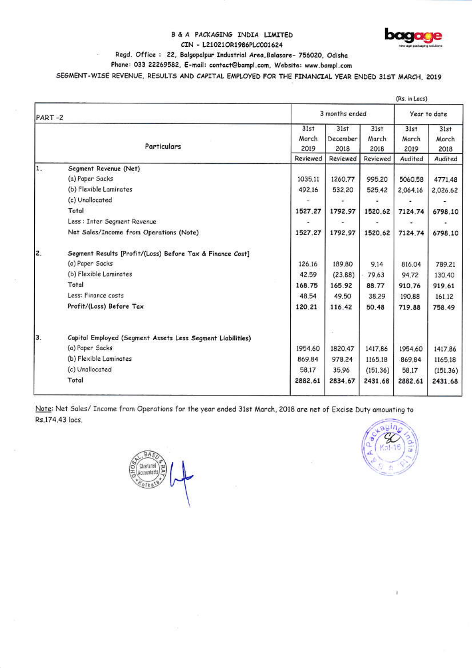#### B & A PACKAGING INDIA LIMITED CIN - L21021OR1986PLC001624



## Regd. Office: 22, Balgopalpur Industrial Area, Balasore- 756020, Odisha

Phone: 033 22269582, E-mail: contact@bampl.com, Website: www.bampl.com

SEGMENT-WISE REVENUE, RESULTS AND CAPITAL EMPLOYED FOR THE FINANCIAL YEAR ENDED 31ST MARCH, 2019

|                                                           | (Rs. in Lacs)                                                                                                                       |                                               |                                               |                                                                     |                                               |  |
|-----------------------------------------------------------|-------------------------------------------------------------------------------------------------------------------------------------|-----------------------------------------------|-----------------------------------------------|---------------------------------------------------------------------|-----------------------------------------------|--|
| PART-2                                                    |                                                                                                                                     | Year to date                                  |                                               |                                                                     |                                               |  |
| Particulars                                               | 31st<br>March                                                                                                                       | 31st<br>December                              | 31st<br>March                                 | 31st<br>March                                                       | 31st<br>March<br>2018                         |  |
|                                                           | Reviewed                                                                                                                            | Reviewed                                      | Reviewed                                      | Audited                                                             | Audited                                       |  |
| Segment Revenue (Net)                                     |                                                                                                                                     |                                               |                                               |                                                                     |                                               |  |
| (a) Paper Sacks                                           | 1035.11                                                                                                                             | 1260,77                                       | 995.20                                        | 5060.58                                                             | 4771.48                                       |  |
| (b) Flexible Laminates                                    | 492.16                                                                                                                              | 532,20                                        | 525.42                                        | 2,064.16                                                            | 2,026.62                                      |  |
| (c) Unallocated                                           |                                                                                                                                     |                                               |                                               |                                                                     |                                               |  |
| Total                                                     | 1527.27                                                                                                                             | 1792.97                                       | 1520.62                                       | 7124.74                                                             | 6798.10                                       |  |
| Less : Inter Segment Revenue                              |                                                                                                                                     |                                               |                                               | $\overline{\phantom{a}}$                                            |                                               |  |
| Net Sales/Income from Operations (Note)                   | 1527.27                                                                                                                             | 1792.97                                       | 1520.62                                       | 7124.74                                                             | 6798.10                                       |  |
| Segment Results [Profit/(Loss) Before Tax & Finance Cost] |                                                                                                                                     |                                               |                                               |                                                                     |                                               |  |
| (a) Paper Sacks                                           | 126.16                                                                                                                              | 189.80                                        | 9.14                                          | 816.04                                                              | 789.21                                        |  |
| (b) Flexible Laminates                                    | 42.59                                                                                                                               | (23.88)                                       | 79.63                                         | 94.72                                                               | 130,40                                        |  |
| Total                                                     | 168.75                                                                                                                              | 165.92                                        | 88.77                                         | 910.76                                                              | 919.61                                        |  |
| Less: Finance costs                                       | 48.54                                                                                                                               | 49.50                                         | 38.29                                         | 190.88                                                              | 161.12                                        |  |
| Profit/(Loss) Before Tax                                  | 120.21                                                                                                                              | 116.42                                        | 50.48                                         | 719.88                                                              | 758.49                                        |  |
|                                                           |                                                                                                                                     | ×                                             |                                               |                                                                     |                                               |  |
|                                                           |                                                                                                                                     |                                               |                                               |                                                                     |                                               |  |
|                                                           |                                                                                                                                     |                                               |                                               |                                                                     | 1417.86                                       |  |
|                                                           |                                                                                                                                     |                                               |                                               |                                                                     | 1165.18                                       |  |
|                                                           |                                                                                                                                     |                                               |                                               |                                                                     | (151.36)                                      |  |
|                                                           |                                                                                                                                     |                                               |                                               |                                                                     | 2431.68                                       |  |
|                                                           | Capital Employed (Segment Assets Less Segment Liabilities)<br>(a) Paper Sacks<br>(b) Flexible Laminates<br>(c) Unallocated<br>Total | 2019<br>1954.60<br>869.84<br>58.17<br>2882.61 | 2018<br>1820.47<br>978.24<br>35.96<br>2834.67 | 3 months ended<br>2018<br>1417.86<br>1165.18<br>(151.36)<br>2431.68 | 2019<br>1954.60<br>869.84<br>58.17<br>2882.61 |  |

Note: Net Sales/ Income from Operations for the year ended 31st March, 2018 are net of Excise Duty amounting to Rs.174.43 lacs.

Chartered

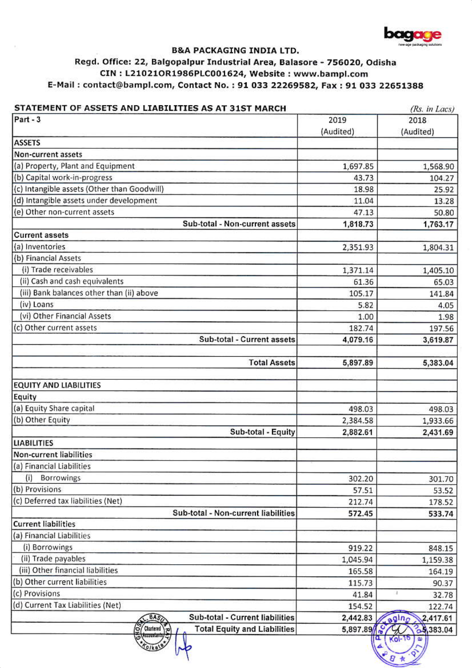

# **B&A PACKAGING INDIA LTD.**

# Regd. Office: 22, Balgopalpur Industrial Area, Balasore - 756020, Odisha CIN: L21021OR1986PLC001624, Website: www.bampl.com E-Mail: contact@bampl.com, Contact No.: 91 033 22269582, Fax: 91 033 22651388

| STATEMENT OF ASSETS AND LIABILITIES AS AT 31ST MARCH                             | (Rs. in Lacs) |                   |  |
|----------------------------------------------------------------------------------|---------------|-------------------|--|
| Part-3                                                                           | 2019          | 2018              |  |
|                                                                                  | (Audited)     | (Audited)         |  |
| <b>ASSETS</b>                                                                    |               |                   |  |
| Non-current assets                                                               |               |                   |  |
| (a) Property, Plant and Equipment                                                | 1,697.85      | 1,568.90          |  |
| (b) Capital work-in-progress                                                     | 43.73         | 104.27            |  |
| (c) Intangible assets (Other than Goodwill)                                      | 18.98         | 25.92             |  |
| (d) Intangible assets under development                                          | 11.04         | 13.28             |  |
| (e) Other non-current assets                                                     | 47.13         | 50.80             |  |
| Sub-total - Non-current assets                                                   | 1,818.73      | 1,763.17          |  |
| <b>Current assets</b>                                                            |               |                   |  |
| (a) Inventories                                                                  | 2,351.93      | 1,804.31          |  |
| (b) Financial Assets                                                             |               |                   |  |
| (i) Trade receivables                                                            | 1,371.14      | 1,405.10          |  |
| (ii) Cash and cash equivalents                                                   | 61.36         | 65.03             |  |
| (iii) Bank balances other than (ii) above                                        | 105.17        | 141.84            |  |
| (iv) Loans                                                                       | 5.82          | 4.05              |  |
| (vi) Other Financial Assets                                                      | 1.00          | 1.98              |  |
| (c) Other current assets                                                         | 182.74        | 197.56            |  |
| Sub-total - Current assets                                                       | 4,079.16      | 3,619.87          |  |
|                                                                                  |               |                   |  |
| <b>Total Assets</b>                                                              | 5,897.89      | 5,383.04          |  |
|                                                                                  |               |                   |  |
| <b>EQUITY AND LIABILITIES</b>                                                    |               |                   |  |
| Equity                                                                           |               |                   |  |
| (a) Equity Share capital                                                         | 498.03        | 498.03            |  |
| (b) Other Equity                                                                 | 2,384.58      | 1,933.66          |  |
| Sub-total - Equity                                                               | 2,882.61      | 2,431.69          |  |
| <b>LIABILITIES</b>                                                               |               |                   |  |
| Non-current liabilities                                                          |               |                   |  |
| (a) Financial Liabilities                                                        |               |                   |  |
| (i)<br><b>Borrowings</b>                                                         | 302.20        | 301.70            |  |
| (b) Provisions                                                                   | 57.51         | 53.52             |  |
| (c) Deferred tax liabilities (Net)                                               | 212.74        | 178.52            |  |
| Sub-total - Non-current liabilities                                              | 572.45        | 533.74            |  |
| <b>Current liabilities</b>                                                       |               |                   |  |
| (a) Financial Liabilities                                                        |               |                   |  |
| (i) Borrowings                                                                   | 919.22        | 848.15            |  |
| (ii) Trade payables                                                              | 1,045.94      | 1,159.38          |  |
| (iii) Other financial liabilities                                                | 165.58        | 164.19            |  |
| (b) Other current liabilities                                                    | 115.73        | 90.37             |  |
| (c) Provisions                                                                   | 41.84         | 32.78             |  |
| (d) Current Tax Liabilities (Net)                                                | 154.52        | 122.74            |  |
| Sub-total - Current liabilities<br>BAS                                           | 2,442.83      | 2,417.61<br>agino |  |
| မြို့<br>Chartered \zo<br><b>Total Equity and Liabilities</b><br><b>COUNTING</b> | 5,897.89      | 23,383.04         |  |
|                                                                                  |               | $(0 - 10)$        |  |